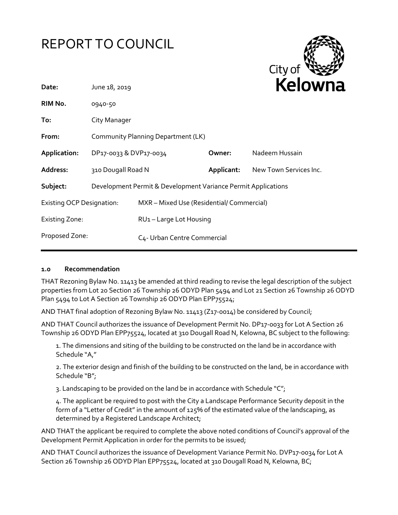



| Date:                            | June 18, 2019                                                 |                                           |            | <b>NEIUWH</b>          |
|----------------------------------|---------------------------------------------------------------|-------------------------------------------|------------|------------------------|
| RIM No.                          | 0940-50                                                       |                                           |            |                        |
| To:                              | City Manager                                                  |                                           |            |                        |
| From:                            | Community Planning Department (LK)                            |                                           |            |                        |
| Application:                     | DP17-0033 & DVP17-0034                                        |                                           | Owner:     | Nadeem Hussain         |
| Address:                         | 310 Dougall Road N                                            |                                           | Applicant: | New Town Services Inc. |
| Subject:                         | Development Permit & Development Variance Permit Applications |                                           |            |                        |
| <b>Existing OCP Designation:</b> |                                                               | MXR - Mixed Use (Residential/ Commercial) |            |                        |
| <b>Existing Zone:</b>            |                                                               | RU1-Large Lot Housing                     |            |                        |
| Proposed Zone:                   |                                                               | C4- Urban Centre Commercial               |            |                        |
|                                  |                                                               |                                           |            |                        |

#### **1.0 Recommendation**

THAT Rezoning Bylaw No. 11413 be amended at third reading to revise the legal description of the subject properties from Lot 20 Section 26 Township 26 ODYD Plan 5494 and Lot 21 Section 26 Township 26 ODYD Plan 5494 to Lot A Section 26 Township 26 ODYD Plan EPP75524;

AND THAT final adoption of Rezoning Bylaw No. 11413 (Z17-0014) be considered by Council;

AND THAT Council authorizes the issuance of Development Permit No. DP17-0033 for Lot A Section 26 Township 26 ODYD Plan EPP75524, located at 310 Dougall Road N, Kelowna, BC subject to the following:

1. The dimensions and siting of the building to be constructed on the land be in accordance with Schedule "A,"

2. The exterior design and finish of the building to be constructed on the land, be in accordance with Schedule "B";

3. Landscaping to be provided on the land be in accordance with Schedule " $C$ ";

4. The applicant be required to post with the City a Landscape Performance Security deposit in the form of a "Letter of Credit" in the amount of 125% of the estimated value of the landscaping, as determined by a Registered Landscape Architect;

AND THAT the applicant be required to complete the above noted conditions of Council's approval of the Development Permit Application in order for the permits to be issued;

AND THAT Council authorizes the issuance of Development Variance Permit No. DVP17-0034 for Lot A Section 26 Township 26 ODYD Plan EPP75524, located at 310 Dougall Road N, Kelowna, BC;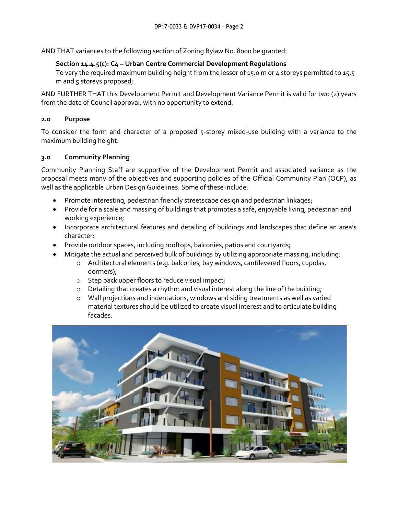AND THAT variances to the following section of Zoning Bylaw No. 8000 be granted:

#### **Section 14.4.5(c): C4 – Urban Centre Commercial Development Regulations**

To vary the required maximum building height from the lessor of 15.0 m or 4 storeys permitted to 15.5 m and 5 storeys proposed;

AND FURTHER THAT this Development Permit and Development Variance Permit is valid for two (2) years from the date of Council approval, with no opportunity to extend.

#### **2.0 Purpose**

To consider the form and character of a proposed 5-storey mixed-use building with a variance to the maximum building height.

#### **3.0 Community Planning**

Community Planning Staff are supportive of the Development Permit and associated variance as the proposal meets many of the objectives and supporting policies of the Official Community Plan (OCP), as well as the applicable Urban Design Guidelines. Some of these include:

- Promote interesting, pedestrian friendly streetscape design and pedestrian linkages;
- Provide for a scale and massing of buildings that promotes a safe, enjoyable living, pedestrian and working experience;
- Incorporate architectural features and detailing of buildings and landscapes that define an area's character;
- Provide outdoor spaces, including rooftops, balconies, patios and courtyards;
- Mitigate the actual and perceived bulk of buildings by utilizing appropriate massing, including:
	- o Architectural elements (e.g. balconies, bay windows, cantilevered floors, cupolas, dormers);
	- o Step back upper floors to reduce visual impact;
	- o Detailing that creates a rhythm and visual interest along the line of the building;
	- $\circ$  Wall projections and indentations, windows and siding treatments as well as varied material textures should be utilized to create visual interest and to articulate building facades.

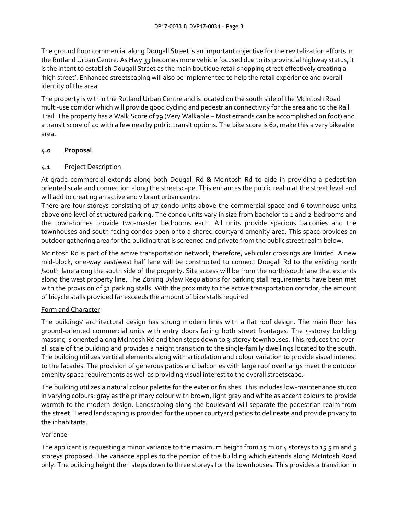The ground floor commercial along Dougall Street is an important objective for the revitalization efforts in the Rutland Urban Centre. As Hwy 33 becomes more vehicle focused due to its provincial highway status, it is the intent to establish Dougall Street as the main boutique retail shopping street effectively creating a 'high street'. Enhanced streetscaping will also be implemented to help the retail experience and overall identity of the area.

The property is within the Rutland Urban Centre and is located on the south side of the McIntosh Road multi-use corridor which will provide good cycling and pedestrian connectivity for the area and to the Rail Trail. The property has a Walk Score of 79 (Very Walkable – Most errands can be accomplished on foot) and a transit score of 40 with a few nearby public transit options. The bike score is 62, make this a very bikeable area.

## **4.0 Proposal**

## 4.1 Project Description

At-grade commercial extends along both Dougall Rd & McIntosh Rd to aide in providing a pedestrian oriented scale and connection along the streetscape. This enhances the public realm at the street level and will add to creating an active and vibrant urban centre.

There are four storeys consisting of 17 condo units above the commercial space and 6 townhouse units above one level of structured parking. The condo units vary in size from bachelor to 1 and 2-bedrooms and the town-homes provide two-master bedrooms each. All units provide spacious balconies and the townhouses and south facing condos open onto a shared courtyard amenity area. This space provides an outdoor gathering area for the building that is screened and private from the public street realm below.

McIntosh Rd is part of the active transportation network; therefore, vehicular crossings are limited. A new mid-block, one-way east/west half lane will be constructed to connect Dougall Rd to the existing north /south lane along the south side of the property. Site access will be from the north/south lane that extends along the west property line. The Zoning Bylaw Regulations for parking stall requirements have been met with the provision of 31 parking stalls. With the proximity to the active transportation corridor, the amount of bicycle stalls provided far exceeds the amount of bike stalls required.

## Form and Character

The buildings' architectural design has strong modern lines with a flat roof design. The main floor has ground-oriented commercial units with entry doors facing both street frontages. The 5-storey building massing is oriented along McIntosh Rd and then steps down to 3-storey townhouses. This reduces the overall scale of the building and provides a height transition to the single-family dwellings located to the south. The building utilizes vertical elements along with articulation and colour variation to provide visual interest to the facades. The provision of generous patios and balconies with large roof overhangs meet the outdoor amenity space requirements as well as providing visual interest to the overall streetscape.

The building utilizes a natural colour palette for the exterior finishes. This includes low-maintenance stucco in varying colours: gray as the primary colour with brown, light gray and white as accent colours to provide warmth to the modern design. Landscaping along the boulevard will separate the pedestrian realm from the street. Tiered landscaping is provided for the upper courtyard patios to delineate and provide privacy to the inhabitants.

## Variance

The applicant is requesting a minor variance to the maximum height from 15 m or 4 storeys to 15.5 m and 5 storeys proposed. The variance applies to the portion of the building which extends along McIntosh Road only. The building height then steps down to three storeys for the townhouses. This provides a transition in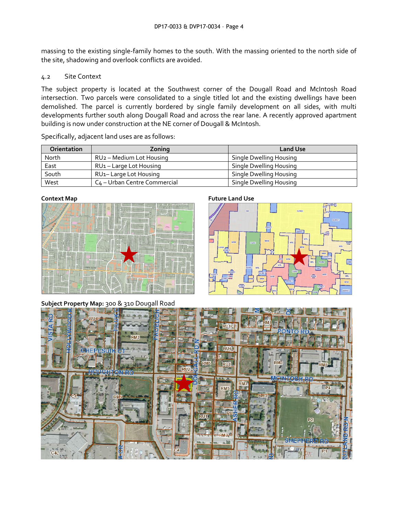massing to the existing single-family homes to the south. With the massing oriented to the north side of the site, shadowing and overlook conflicts are avoided.

#### 4.2 Site Context

The subject property is located at the Southwest corner of the Dougall Road and McIntosh Road intersection. Two parcels were consolidated to a single titled lot and the existing dwellings have been demolished. The parcel is currently bordered by single family development on all sides, with multi developments further south along Dougall Road and across the rear lane. A recently approved apartment building is now under construction at the NE corner of Dougall & McIntosh.

| <b>Orientation</b> | Zoning                                   | <b>Land Use</b>         |
|--------------------|------------------------------------------|-------------------------|
| North              | RU <sub>2</sub> - Medium Lot Housing     | Single Dwelling Housing |
| East               | RU <sub>1</sub> – Large Lot Housing      | Single Dwelling Housing |
| South              | RU <sub>1</sub> -Large Lot Housing       | Single Dwelling Housing |
| West               | C <sub>4</sub> – Urban Centre Commercial | Single Dwelling Housing |

Specifically, adjacent land uses are as follows:

| Context Map |                             |                       |                                   |    |
|-------------|-----------------------------|-----------------------|-----------------------------------|----|
| <b>ANA</b>  | 12 年 12<br>怎<br>Ħ<br>ä<br>۶ |                       | 45<br><b>And</b><br><b>Adjust</b> | 目目 |
|             | ă                           | Ŧ                     |                                   |    |
| E           | HWY 33 W                    | ŧ                     |                                   |    |
| E           | E<br>ŧ                      | 带<br><b>DRDS</b><br>E | 宇<br>日                            | Ľ  |





#### **Subject Property Map:** 300 & 310 Dougall Road

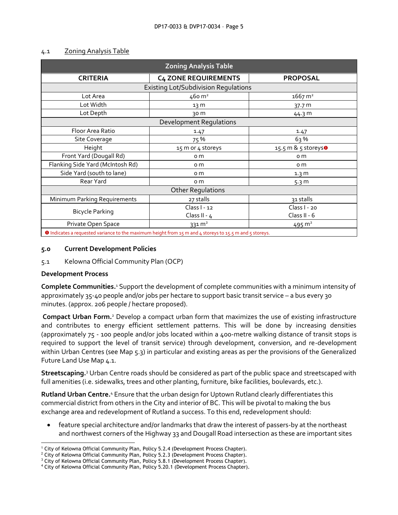| <b>Zoning Analysis Table</b>                                                                            |                             |                                 |  |  |  |
|---------------------------------------------------------------------------------------------------------|-----------------------------|---------------------------------|--|--|--|
| <b>CRITERIA</b>                                                                                         | <b>C4 ZONE REQUIREMENTS</b> | <b>PROPOSAL</b>                 |  |  |  |
| <b>Existing Lot/Subdivision Regulations</b>                                                             |                             |                                 |  |  |  |
| Lot Area                                                                                                | 460 m <sup>2</sup>          | $1667 \, m2$                    |  |  |  |
| Lot Width                                                                                               | 13 <sub>m</sub>             | 37.7 m                          |  |  |  |
| Lot Depth                                                                                               | 30 m                        | 44.3 m                          |  |  |  |
| <b>Development Regulations</b>                                                                          |                             |                                 |  |  |  |
| Floor Area Ratio                                                                                        | 1.47                        | 1.47                            |  |  |  |
| Site Coverage                                                                                           | 75 %                        | 63%                             |  |  |  |
| Height                                                                                                  | 15 m or 4 storeys           | 15.5 m & 5 storeys <sup>o</sup> |  |  |  |
| Front Yard (Dougall Rd)                                                                                 | o m                         | o m                             |  |  |  |
| Flanking Side Yard (McIntosh Rd)                                                                        | o m                         | o m                             |  |  |  |
| Side Yard (south to lane)                                                                               | o m                         | 1.3 <sub>m</sub>                |  |  |  |
| Rear Yard                                                                                               | o m                         | 5.3 <sub>m</sub>                |  |  |  |
| <b>Other Regulations</b>                                                                                |                             |                                 |  |  |  |
| Minimum Parking Requirements                                                                            | 27 stalls                   | 31 stalls                       |  |  |  |
|                                                                                                         | Class I - 12                | Class $1 - 20$                  |  |  |  |
| <b>Bicycle Parking</b>                                                                                  | Class II - $4$              | Class II - 6                    |  |  |  |
| Private Open Space                                                                                      | $331 \, \text{m}^2$         | 495 $m2$                        |  |  |  |
| O Indicates a requested variance to the maximum height from 15 m and 4 storeys to 15.5 m and 5 storeys. |                             |                                 |  |  |  |

#### 4.1 Zoning Analysis Table

#### **5.0 Current Development Policies**

5.1 Kelowna Official Community Plan (OCP)

#### **Development Process**

**Complete Communities.**<sup>1</sup> Support the development of complete communities with a minimum intensity of approximately 35-40 people and/or jobs per hectare to support basic transit service – a bus every 30 minutes. (approx. 206 people / hectare proposed).

**Compact Urban Form.**<sup>2</sup> Develop a compact urban form that maximizes the use of existing infrastructure and contributes to energy efficient settlement patterns. This will be done by increasing densities (approximately 75 - 100 people and/or jobs located within a 400-metre walking distance of transit stops is required to support the level of transit service) through development, conversion, and re-development within Urban Centres (see Map 5.3) in particular and existing areas as per the provisions of the Generalized Future Land Use Map 4.1.

**Streetscaping.**<sup>3</sup> Urban Centre roads should be considered as part of the public space and streetscaped with full amenities (i.e. sidewalks, trees and other planting, furniture, bike facilities, boulevards, etc.).

**Rutland Urban Centre.**<sup>4</sup> Ensure that the urban design for Uptown Rutland clearly differentiates this commercial district from others in the City and interior of BC. This will be pivotal to making the bus exchange area and redevelopment of Rutland a success. To this end, redevelopment should:

 feature special architecture and/or landmarks that draw the interest of passers-by at the northeast and northwest corners of the Highway 33 and Dougall Road intersection as these are important sites

<sup>-</sup><sup>1</sup> City of Kelowna Official Community Plan, Policy 5.2.4 (Development Process Chapter).

<sup>&</sup>lt;sup>2</sup> City of Kelowna Official Community Plan, Policy 5.2.3 (Development Process Chapter).

<sup>&</sup>lt;sup>3</sup> City of Kelowna Official Community Plan, Policy 5.8.1 (Development Process Chapter).

<sup>4</sup> City of Kelowna Official Community Plan, Policy 5.20.1 (Development Process Chapter).